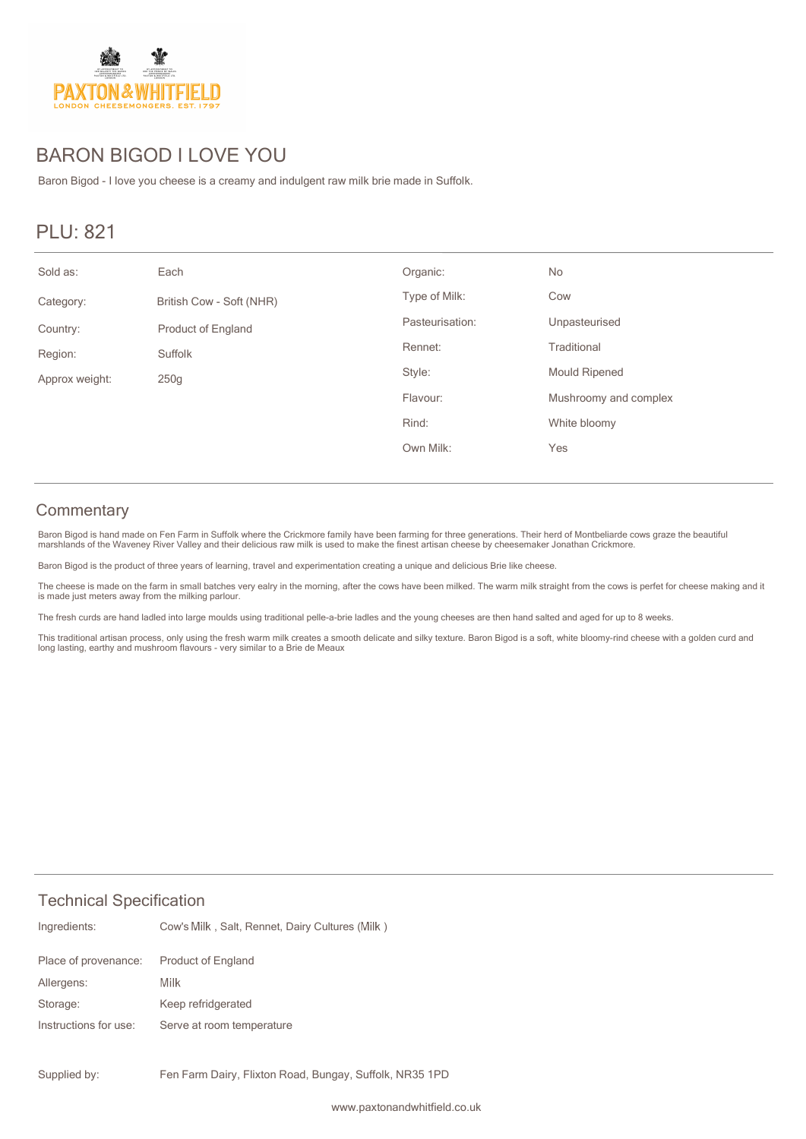

# BARON BIGOD I LOVE YOU

Baron Bigod - I love you cheese is a creamy and indulgent raw milk brie made in Suffolk.

# PLU: 821

| Sold as:       | Each                      | Organic:        | No                    |
|----------------|---------------------------|-----------------|-----------------------|
| Category:      | British Cow - Soft (NHR)  | Type of Milk:   | Cow                   |
| Country:       | <b>Product of England</b> | Pasteurisation: | Unpasteurised         |
| Region:        | Suffolk                   | Rennet:         | Traditional           |
| Approx weight: | 250g                      | Style:          | <b>Mould Ripened</b>  |
|                |                           | Flavour:        | Mushroomy and complex |
|                |                           | Rind:           | White bloomy          |
|                |                           | Own Milk:       | Yes                   |

### **Commentary**

Baron Bigod is hand made on Fen Farm in Suffolk where the Crickmore family have been farming for three generations. Their herd of Montbeliarde cows graze the beautiful<br>marshlands of the Waveney River Valley and their delic

Baron Bigod is the product of three years of learning, travel and experimentation creating a unique and delicious Brie like cheese.

The cheese is made on the farm in small batches very ealry in the morning, after the cows have been milked. The warm milk straight from the cows is perfet for cheese making and it<br>is made just meters away from the milking

The fresh curds are hand ladled into large moulds using traditional pelle-a-brie ladles and the young cheeses are then hand salted and aged for up to 8 weeks.

This traditional artisan process, only using the fresh warm milk creates a smooth delicate and silky texture. Baron Bigod is a soft, white bloomy-rind cheese with a golden curd and<br>long lasting, earthy and mushroom flavour

### Technical Specification

| Ingredients:          | Cow's Milk, Salt, Rennet, Dairy Cultures (Milk) |
|-----------------------|-------------------------------------------------|
| Place of provenance:  | <b>Product of England</b>                       |
| Allergens:            | Milk                                            |
| Storage:              | Keep refridgerated                              |
| Instructions for use: | Serve at room temperature                       |
|                       |                                                 |

Fen Farm Dairy, Flixton Road, Bungay, Suffolk, NR35 1PD Supplied by: